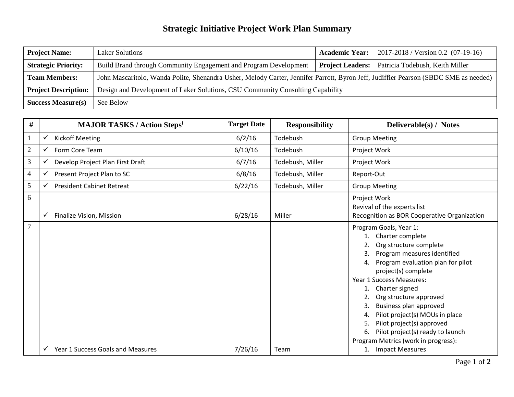## **Strategic Initiative Project Work Plan Summary**

| <b>Project Name:</b>        | <b>Laker Solutions</b>                                                                                                               | <b>Academic Year:</b>   | 2017-2018 / Version 0.2 (07-19-16) |  |
|-----------------------------|--------------------------------------------------------------------------------------------------------------------------------------|-------------------------|------------------------------------|--|
| <b>Strategic Priority:</b>  | Build Brand through Community Engagement and Program Development                                                                     | <b>Project Leaders:</b> | Patricia Todebush, Keith Miller    |  |
| <b>Team Members:</b>        | John Mascaritolo, Wanda Polite, Shenandra Usher, Melody Carter, Jennifer Parrott, Byron Jeff, Judiffier Pearson (SBDC SME as needed) |                         |                                    |  |
| <b>Project Description:</b> | Design and Development of Laker Solutions, CSU Community Consulting Capability                                                       |                         |                                    |  |
| <b>Success Measure(s)</b>   | See Below                                                                                                                            |                         |                                    |  |

| #              | <b>MAJOR TASKS / Action Stepsi</b>                | <b>Target Date</b> | <b>Responsibility</b> | Deliverable(s) / Notes                                                                                                                                                                                                                                                                                                                                                                                                                 |
|----------------|---------------------------------------------------|--------------------|-----------------------|----------------------------------------------------------------------------------------------------------------------------------------------------------------------------------------------------------------------------------------------------------------------------------------------------------------------------------------------------------------------------------------------------------------------------------------|
|                | <b>Kickoff Meeting</b><br>✓                       | 6/2/16             | Todebush              | <b>Group Meeting</b>                                                                                                                                                                                                                                                                                                                                                                                                                   |
| $\sqrt{2}$     | Form Core Team<br>✓                               | 6/10/16            | Todebush              | Project Work                                                                                                                                                                                                                                                                                                                                                                                                                           |
| 3              | Develop Project Plan First Draft<br>✓             | 6/7/16             | Todebush, Miller      | Project Work                                                                                                                                                                                                                                                                                                                                                                                                                           |
| $\overline{4}$ | Present Project Plan to SC<br>✓                   | 6/8/16             | Todebush, Miller      | Report-Out                                                                                                                                                                                                                                                                                                                                                                                                                             |
| 5              | <b>President Cabinet Retreat</b><br>✓             | 6/22/16            | Todebush, Miller      | <b>Group Meeting</b>                                                                                                                                                                                                                                                                                                                                                                                                                   |
| 6              | Finalize Vision, Mission<br>✓                     | 6/28/16            | Miller                | Project Work<br>Revival of the experts list<br>Recognition as BOR Cooperative Organization                                                                                                                                                                                                                                                                                                                                             |
| $\overline{7}$ | Year 1 Success Goals and Measures<br>$\checkmark$ |                    | Team                  | Program Goals, Year 1:<br>Charter complete<br>Org structure complete<br>3.<br>Program measures identified<br>Program evaluation plan for pilot<br>4.<br>project(s) complete<br>Year 1 Success Measures:<br>1. Charter signed<br>Org structure approved<br>Business plan approved<br>Pilot project(s) MOUs in place<br>4.<br>Pilot project(s) approved<br>5.<br>Pilot project(s) ready to launch<br>Program Metrics (work in progress): |
|                |                                                   | 7/26/16            |                       | <b>Impact Measures</b>                                                                                                                                                                                                                                                                                                                                                                                                                 |